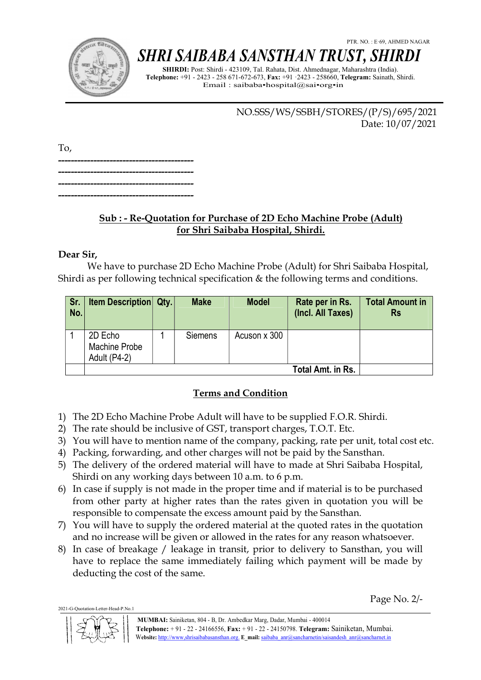

# SHRI SAIBABA SANSTHAN TRUST, SHIRDI

SHIRDI: Post: Shirdi - 423109, Tal. Rahata, Dist. Ahmednagar, Maharashtra (India). Telephone: +91 - 2423 - 258 671-672-673, Fax: +91 ·2423 - 258660, Telegram: Sainath, Shirdi. Email : saibaba•hospital@sai•org•in

> NO.SSS/WS/SSBH/STORES/(P/S)/695/2021 Date: 10/07/2021

To, ------------------------------------------ ------------------------------------------ ------------------------------------------ ------------------------------------------

## Sub : - Re-Quotation for Purchase of 2D Echo Machine Probe (Adult) for Shri Saibaba Hospital, Shirdi.

#### Dear Sir,

We have to purchase 2D Echo Machine Probe (Adult) for Shri Saibaba Hospital, Shirdi as per following technical specification & the following terms and conditions.

| Sr.<br>No. | <b>Item Description Qty.</b>             | <b>Make</b>    | <b>Model</b> | Rate per in Rs.<br>(Incl. All Taxes) | <b>Total Amount in</b><br><b>Rs</b> |
|------------|------------------------------------------|----------------|--------------|--------------------------------------|-------------------------------------|
|            | 2D Echo<br>Machine Probe<br>Adult (P4-2) | <b>Siemens</b> | Acuson x 300 |                                      |                                     |
|            |                                          |                |              | Total Amt. in Rs.                    |                                     |

### Terms and Condition

- 1) The 2D Echo Machine Probe Adult will have to be supplied F.O.R. Shirdi.
- 2) The rate should be inclusive of GST, transport charges, T.O.T. Etc.
- 3) You will have to mention name of the company, packing, rate per unit, total cost etc.
- 4) Packing, forwarding, and other charges will not be paid by the Sansthan.
- 5) The delivery of the ordered material will have to made at Shri Saibaba Hospital, Shirdi on any working days between 10 a.m. to 6 p.m.
- 6) In case if supply is not made in the proper time and if material is to be purchased from other party at higher rates than the rates given in quotation you will be responsible to compensate the excess amount paid by the Sansthan.
- 7) You will have to supply the ordered material at the quoted rates in the quotation and no increase will be given or allowed in the rates for any reason whatsoever.
- 8) In case of breakage / leakage in transit, prior to delivery to Sansthan, you will have to replace the same immediately failing which payment will be made by deducting the cost of the same.

2021-G-Quotation-Letter-Head-P.No.1

Page No. 2/-

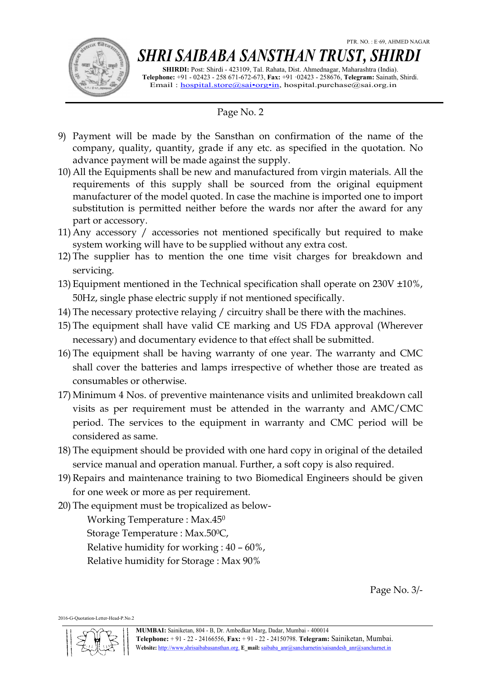

# SHRI SAIBABA SANSTHAN TRUST, SHIRDI

SHIRDI: Post: Shirdi - 423109, Tal. Rahata, Dist. Ahmednagar, Maharashtra (India). Telephone: +91 - 02423 - 258 671-672-673, Fax: +91 ·02423 - 258676, Telegram: Sainath, Shirdi. Email : hospital.store@sai•org•in, hospital.purchase@sai.org.in

### Page No. 2

- 9) Payment will be made by the Sansthan on confirmation of the name of the company, quality, quantity, grade if any etc. as specified in the quotation. No advance payment will be made against the supply.
- 10) All the Equipments shall be new and manufactured from virgin materials. All the requirements of this supply shall be sourced from the original equipment manufacturer of the model quoted. In case the machine is imported one to import substitution is permitted neither before the wards nor after the award for any part or accessory.
- 11) Any accessory / accessories not mentioned specifically but required to make system working will have to be supplied without any extra cost.
- 12) The supplier has to mention the one time visit charges for breakdown and servicing.
- 13) Equipment mentioned in the Technical specification shall operate on 230V ±10%, 50Hz, single phase electric supply if not mentioned specifically.
- 14) The necessary protective relaying / circuitry shall be there with the machines.
- 15) The equipment shall have valid CE marking and US FDA approval (Wherever necessary) and documentary evidence to that effect shall be submitted.
- 16) The equipment shall be having warranty of one year. The warranty and CMC shall cover the batteries and lamps irrespective of whether those are treated as consumables or otherwise.
- 17) Minimum 4 Nos. of preventive maintenance visits and unlimited breakdown call visits as per requirement must be attended in the warranty and AMC/CMC period. The services to the equipment in warranty and CMC period will be considered as same.
- 18) The equipment should be provided with one hard copy in original of the detailed service manual and operation manual. Further, a soft copy is also required.
- 19) Repairs and maintenance training to two Biomedical Engineers should be given for one week or more as per requirement.
- 20) The equipment must be tropicalized as below-

Working Temperature : Max.45<sup>0</sup>

Storage Temperature : Max.500C, Relative humidity for working : 40 – 60%, Relative humidity for Storage : Max 90%

Page No. 3/-

2016-G-Quotation-Letter-Head-P.No.2